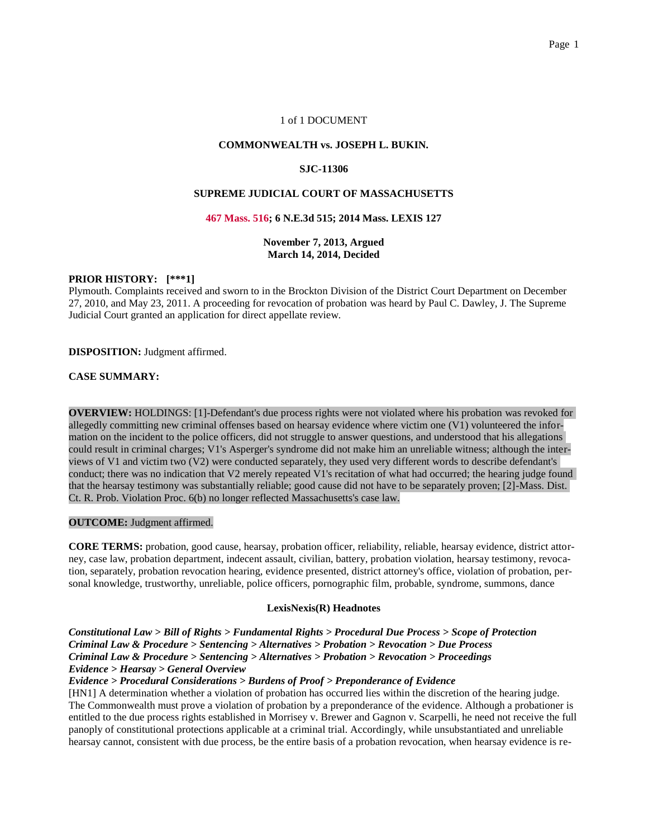# 1 of 1 DOCUMENT

## **COMMONWEALTH vs. JOSEPH L. BUKIN.**

## **SJC-11306**

# **SUPREME JUDICIAL COURT OF MASSACHUSETTS**

#### **467 Mass. 516; 6 N.E.3d 515; 2014 Mass. LEXIS 127**

## **November 7, 2013, Argued March 14, 2014, Decided**

## **PRIOR HISTORY: [\*\*\*1]**

Plymouth. Complaints received and sworn to in the Brockton Division of the District Court Department on December 27, 2010, and May 23, 2011. A proceeding for revocation of probation was heard by Paul C. Dawley, J. The Supreme Judicial Court granted an application for direct appellate review.

**DISPOSITION:** Judgment affirmed.

## **CASE SUMMARY:**

**OVERVIEW:** HOLDINGS: [1]-Defendant's due process rights were not violated where his probation was revoked for allegedly committing new criminal offenses based on hearsay evidence where victim one (V1) volunteered the information on the incident to the police officers, did not struggle to answer questions, and understood that his allegations could result in criminal charges; V1's Asperger's syndrome did not make him an unreliable witness; although the interviews of V1 and victim two (V2) were conducted separately, they used very different words to describe defendant's conduct; there was no indication that V2 merely repeated V1's recitation of what had occurred; the hearing judge found that the hearsay testimony was substantially reliable; good cause did not have to be separately proven; [2]-Mass. Dist. Ct. R. Prob. Violation Proc. 6(b) no longer reflected Massachusetts's case law.

#### **OUTCOME:** Judgment affirmed.

**CORE TERMS:** probation, good cause, hearsay, probation officer, reliability, reliable, hearsay evidence, district attorney, case law, probation department, indecent assault, civilian, battery, probation violation, hearsay testimony, revocation, separately, probation revocation hearing, evidence presented, district attorney's office, violation of probation, personal knowledge, trustworthy, unreliable, police officers, pornographic film, probable, syndrome, summons, dance

## **LexisNexis(R) Headnotes**

*Constitutional Law > Bill of Rights > Fundamental Rights > Procedural Due Process > Scope of Protection Criminal Law & Procedure > Sentencing > Alternatives > Probation > Revocation > Due Process Criminal Law & Procedure > Sentencing > Alternatives > Probation > Revocation > Proceedings Evidence > Hearsay > General Overview*

# *Evidence > Procedural Considerations > Burdens of Proof > Preponderance of Evidence*

[HN1] A determination whether a violation of probation has occurred lies within the discretion of the hearing judge. The Commonwealth must prove a violation of probation by a preponderance of the evidence. Although a probationer is entitled to the due process rights established in Morrisey v. Brewer and Gagnon v. Scarpelli, he need not receive the full panoply of constitutional protections applicable at a criminal trial. Accordingly, while unsubstantiated and unreliable hearsay cannot, consistent with due process, be the entire basis of a probation revocation, when hearsay evidence is re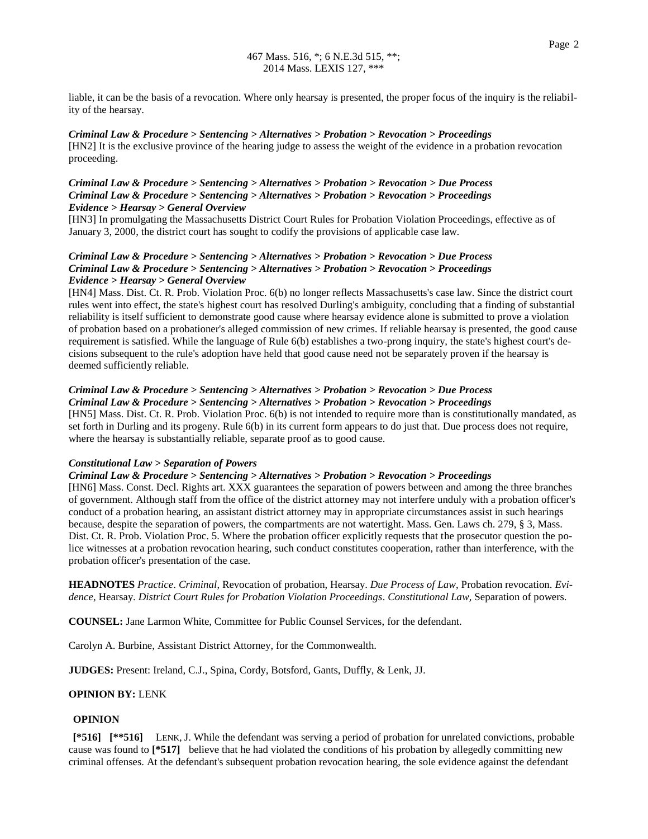liable, it can be the basis of a revocation. Where only hearsay is presented, the proper focus of the inquiry is the reliability of the hearsay.

#### *Criminal Law & Procedure > Sentencing > Alternatives > Probation > Revocation > Proceedings*

[HN2] It is the exclusive province of the hearing judge to assess the weight of the evidence in a probation revocation proceeding.

# *Criminal Law & Procedure > Sentencing > Alternatives > Probation > Revocation > Due Process Criminal Law & Procedure > Sentencing > Alternatives > Probation > Revocation > Proceedings Evidence > Hearsay > General Overview*

[HN3] In promulgating the Massachusetts District Court Rules for Probation Violation Proceedings, effective as of January 3, 2000, the district court has sought to codify the provisions of applicable case law.

# *Criminal Law & Procedure > Sentencing > Alternatives > Probation > Revocation > Due Process Criminal Law & Procedure > Sentencing > Alternatives > Probation > Revocation > Proceedings Evidence > Hearsay > General Overview*

[HN4] Mass. Dist. Ct. R. Prob. Violation Proc. 6(b) no longer reflects Massachusetts's case law. Since the district court rules went into effect, the state's highest court has resolved Durling's ambiguity, concluding that a finding of substantial reliability is itself sufficient to demonstrate good cause where hearsay evidence alone is submitted to prove a violation of probation based on a probationer's alleged commission of new crimes. If reliable hearsay is presented, the good cause requirement is satisfied. While the language of Rule 6(b) establishes a two-prong inquiry, the state's highest court's decisions subsequent to the rule's adoption have held that good cause need not be separately proven if the hearsay is deemed sufficiently reliable.

# *Criminal Law & Procedure > Sentencing > Alternatives > Probation > Revocation > Due Process*

*Criminal Law & Procedure > Sentencing > Alternatives > Probation > Revocation > Proceedings* [HN5] Mass. Dist. Ct. R. Prob. Violation Proc. 6(b) is not intended to require more than is constitutionally mandated, as set forth in Durling and its progeny. Rule 6(b) in its current form appears to do just that. Due process does not require, where the hearsay is substantially reliable, separate proof as to good cause.

## *Constitutional Law > Separation of Powers*

#### *Criminal Law & Procedure > Sentencing > Alternatives > Probation > Revocation > Proceedings*

[HN6] Mass. Const. Decl. Rights art. XXX guarantees the separation of powers between and among the three branches of government. Although staff from the office of the district attorney may not interfere unduly with a probation officer's conduct of a probation hearing, an assistant district attorney may in appropriate circumstances assist in such hearings because, despite the separation of powers, the compartments are not watertight. Mass. Gen. Laws ch. 279, § 3, Mass. Dist. Ct. R. Prob. Violation Proc. 5. Where the probation officer explicitly requests that the prosecutor question the police witnesses at a probation revocation hearing, such conduct constitutes cooperation, rather than interference, with the probation officer's presentation of the case.

**HEADNOTES** *Practice*. *Criminal*, Revocation of probation, Hearsay. *Due Process of Law*, Probation revocation. *Evidence*, Hearsay. *District Court Rules for Probation Violation Proceedings*. *Constitutional Law*, Separation of powers.

**COUNSEL:** Jane Larmon White, Committee for Public Counsel Services, for the defendant.

Carolyn A. Burbine, Assistant District Attorney, for the Commonwealth.

**JUDGES:** Present: Ireland, C.J., Spina, Cordy, Botsford, Gants, Duffly, & Lenk, JJ.

#### **OPINION BY:** LENK

#### **OPINION**

**[\*516] [\*\*516]** LENK, J. While the defendant was serving a period of probation for unrelated convictions, probable cause was found to **[\*517]** believe that he had violated the conditions of his probation by allegedly committing new criminal offenses. At the defendant's subsequent probation revocation hearing, the sole evidence against the defendant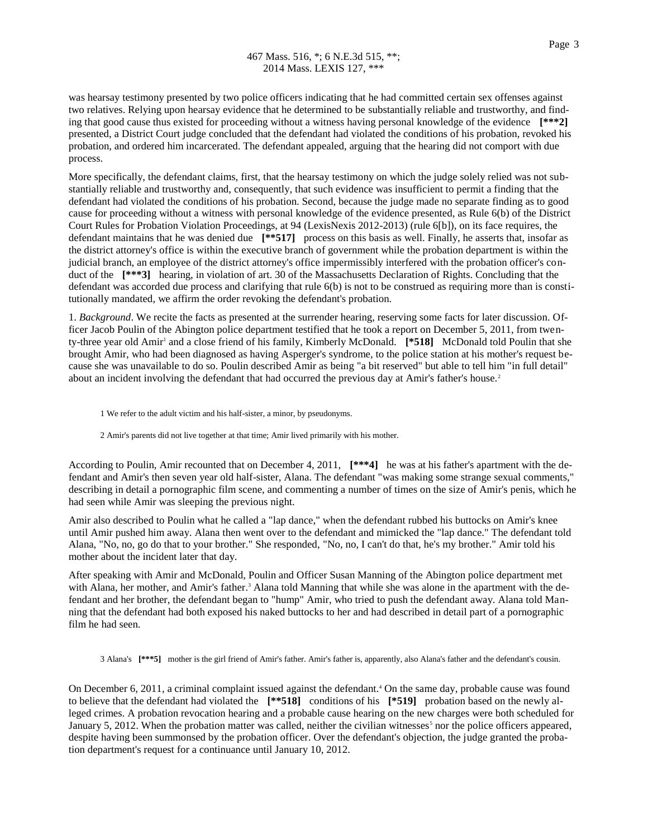was hearsay testimony presented by two police officers indicating that he had committed certain sex offenses against two relatives. Relying upon hearsay evidence that he determined to be substantially reliable and trustworthy, and finding that good cause thus existed for proceeding without a witness having personal knowledge of the evidence **[\*\*\*2]** presented, a District Court judge concluded that the defendant had violated the conditions of his probation, revoked his probation, and ordered him incarcerated. The defendant appealed, arguing that the hearing did not comport with due process.

More specifically, the defendant claims, first, that the hearsay testimony on which the judge solely relied was not substantially reliable and trustworthy and, consequently, that such evidence was insufficient to permit a finding that the defendant had violated the conditions of his probation. Second, because the judge made no separate finding as to good cause for proceeding without a witness with personal knowledge of the evidence presented, as Rule 6(b) of the District Court Rules for Probation Violation Proceedings, at 94 (LexisNexis 2012-2013) (rule 6[b]), on its face requires, the defendant maintains that he was denied due **[\*\*517]** process on this basis as well. Finally, he asserts that, insofar as the district attorney's office is within the executive branch of government while the probation department is within the judicial branch, an employee of the district attorney's office impermissibly interfered with the probation officer's conduct of the  $[***3]$  hearing, in violation of art. 30 of the Massachusetts Declaration of Rights. Concluding that the defendant was accorded due process and clarifying that rule 6(b) is not to be construed as requiring more than is constitutionally mandated, we affirm the order revoking the defendant's probation.

1. *Background*. We recite the facts as presented at the surrender hearing, reserving some facts for later discussion. Officer Jacob Poulin of the Abington police department testified that he took a report on December 5, 2011, from twenty-three year old Amir<sup>1</sup> and a close friend of his family, Kimberly McDonald. [\*518] McDonald told Poulin that she brought Amir, who had been diagnosed as having Asperger's syndrome, to the police station at his mother's request because she was unavailable to do so. Poulin described Amir as being "a bit reserved" but able to tell him "in full detail" about an incident involving the defendant that had occurred the previous day at Amir's father's house.<sup>2</sup>

1 We refer to the adult victim and his half-sister, a minor, by pseudonyms.

2 Amir's parents did not live together at that time; Amir lived primarily with his mother.

According to Poulin, Amir recounted that on December 4, 2011, **[\*\*\*4]** he was at his father's apartment with the defendant and Amir's then seven year old half-sister, Alana. The defendant "was making some strange sexual comments," describing in detail a pornographic film scene, and commenting a number of times on the size of Amir's penis, which he had seen while Amir was sleeping the previous night.

Amir also described to Poulin what he called a "lap dance," when the defendant rubbed his buttocks on Amir's knee until Amir pushed him away. Alana then went over to the defendant and mimicked the "lap dance." The defendant told Alana, "No, no, go do that to your brother." She responded, "No, no, I can't do that, he's my brother." Amir told his mother about the incident later that day.

After speaking with Amir and McDonald, Poulin and Officer Susan Manning of the Abington police department met with Alana, her mother, and Amir's father.<sup>3</sup> Alana told Manning that while she was alone in the apartment with the defendant and her brother, the defendant began to "hump" Amir, who tried to push the defendant away. Alana told Manning that the defendant had both exposed his naked buttocks to her and had described in detail part of a pornographic film he had seen.

3 Alana's **[\*\*\*5]** mother is the girl friend of Amir's father. Amir's father is, apparently, also Alana's father and the defendant's cousin.

On December 6, 2011, a criminal complaint issued against the defendant.<sup>4</sup> On the same day, probable cause was found to believe that the defendant had violated the **[\*\*518]** conditions of his **[\*519]** probation based on the newly alleged crimes. A probation revocation hearing and a probable cause hearing on the new charges were both scheduled for January 5, 2012. When the probation matter was called, neither the civilian witnesses<sup>5</sup> nor the police officers appeared, despite having been summonsed by the probation officer. Over the defendant's objection, the judge granted the probation department's request for a continuance until January 10, 2012.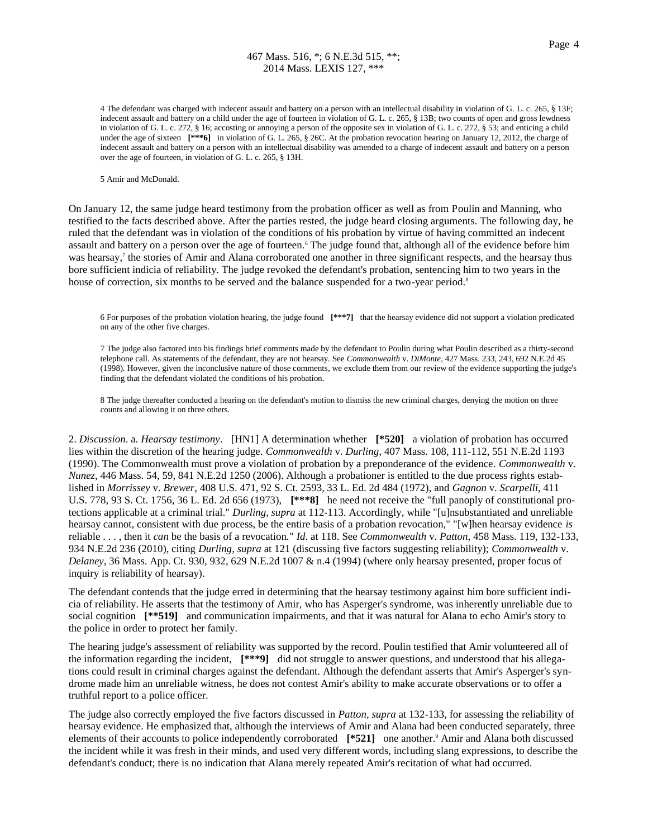# 467 Mass. 516, \*; 6 N.E.3d 515, \*\*; 2014 Mass. LEXIS 127, \*\*\*

4 The defendant was charged with indecent assault and battery on a person with an intellectual disability in violation of G. L. c. 265, § 13F; indecent assault and battery on a child under the age of fourteen in violation of G. L. c. 265, § 13B; two counts of open and gross lewdness in violation of G. L. c. 272, § 16; accosting or annoying a person of the opposite sex in violation of G. L. c. 272, § 53; and enticing a child under the age of sixteen  $[***6]$  in violation of G. L. 265, § 26C. At the probation revocation hearing on January 12, 2012, the charge of indecent assault and battery on a person with an intellectual disability was amended to a charge of indecent assault and battery on a person over the age of fourteen, in violation of G. L. c. 265, § 13H.

5 Amir and McDonald.

On January 12, the same judge heard testimony from the probation officer as well as from Poulin and Manning, who testified to the facts described above. After the parties rested, the judge heard closing arguments. The following day, he ruled that the defendant was in violation of the conditions of his probation by virtue of having committed an indecent assault and battery on a person over the age of fourteen.<sup>6</sup> The judge found that, although all of the evidence before him was hearsay,<sup>7</sup> the stories of Amir and Alana corroborated one another in three significant respects, and the hearsay thus bore sufficient indicia of reliability. The judge revoked the defendant's probation, sentencing him to two years in the house of correction, six months to be served and the balance suspended for a two-year period.<sup>8</sup>

6 For purposes of the probation violation hearing, the judge found **[\*\*\*7]** that the hearsay evidence did not support a violation predicated on any of the other five charges.

7 The judge also factored into his findings brief comments made by the defendant to Poulin during what Poulin described as a thirty-second telephone call. As statements of the defendant, they are not hearsay. See *Commonwealth* v. *DiMonte*, 427 Mass. 233, 243, 692 N.E.2d 45 (1998). However, given the inconclusive nature of those comments, we exclude them from our review of the evidence supporting the judge's finding that the defendant violated the conditions of his probation.

8 The judge thereafter conducted a hearing on the defendant's motion to dismiss the new criminal charges, denying the motion on three counts and allowing it on three others.

2. *Discussion*. a. *Hearsay testimony*. [HN1] A determination whether **[\*520]** a violation of probation has occurred lies within the discretion of the hearing judge. *Commonwealth* v. *Durling*, 407 Mass. 108, 111-112, 551 N.E.2d 1193 (1990). The Commonwealth must prove a violation of probation by a preponderance of the evidence. *Commonwealth* v. *Nunez*, 446 Mass. 54, 59, 841 N.E.2d 1250 (2006). Although a probationer is entitled to the due process rights established in *Morrissey* v. *Brewer*, 408 U.S. 471, 92 S. Ct. 2593, 33 L. Ed. 2d 484 (1972), and *Gagnon* v. *Scarpelli*, 411 U.S. 778, 93 S. Ct. 1756, 36 L. Ed. 2d 656 (1973), **[\*\*\*8]** he need not receive the "full panoply of constitutional protections applicable at a criminal trial." *Durling, supra* at 112-113. Accordingly, while "[u]nsubstantiated and unreliable hearsay cannot, consistent with due process, be the entire basis of a probation revocation," "[w]hen hearsay evidence *is* reliable . . . , then it *can* be the basis of a revocation." *Id*. at 118. See *Commonwealth* v. *Patton*, 458 Mass. 119, 132-133, 934 N.E.2d 236 (2010), citing *Durling, supra* at 121 (discussing five factors suggesting reliability); *Commonwealth* v. *Delaney*, 36 Mass. App. Ct. 930, 932, 629 N.E.2d 1007 & n.4 (1994) (where only hearsay presented, proper focus of inquiry is reliability of hearsay).

The defendant contends that the judge erred in determining that the hearsay testimony against him bore sufficient indicia of reliability. He asserts that the testimony of Amir, who has Asperger's syndrome, was inherently unreliable due to social cognition **[\*\*519]** and communication impairments, and that it was natural for Alana to echo Amir's story to the police in order to protect her family.

The hearing judge's assessment of reliability was supported by the record. Poulin testified that Amir volunteered all of the information regarding the incident, **[\*\*\*9]** did not struggle to answer questions, and understood that his allegations could result in criminal charges against the defendant. Although the defendant asserts that Amir's Asperger's syndrome made him an unreliable witness, he does not contest Amir's ability to make accurate observations or to offer a truthful report to a police officer.

The judge also correctly employed the five factors discussed in *Patton, supra* at 132-133, for assessing the reliability of hearsay evidence. He emphasized that, although the interviews of Amir and Alana had been conducted separately, three elements of their accounts to police independently corroborated **[\*521]** one another.<sup>9</sup> Amir and Alana both discussed the incident while it was fresh in their minds, and used very different words, including slang expressions, to describe the defendant's conduct; there is no indication that Alana merely repeated Amir's recitation of what had occurred.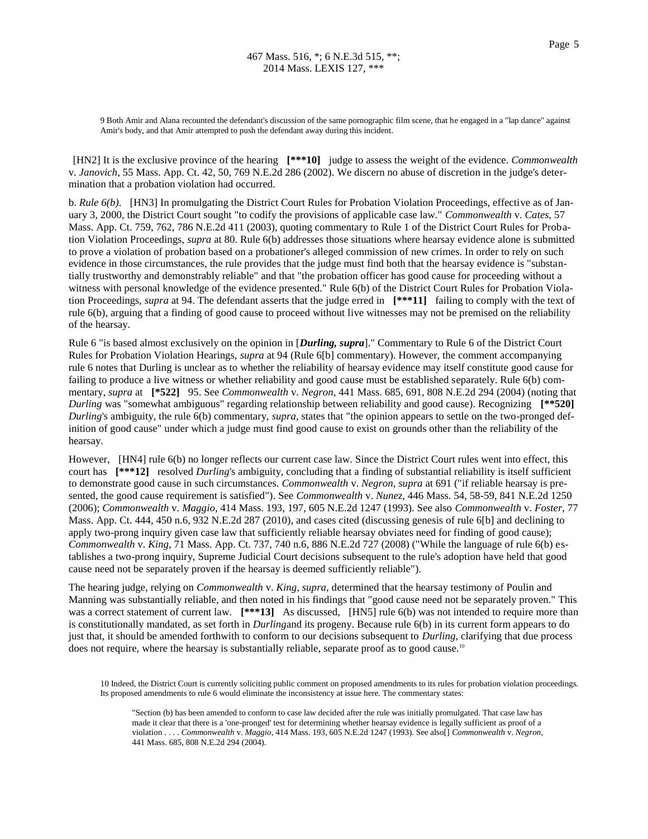9 Both Amir and Alana recounted the defendant's discussion of the same pornographic film scene, that he engaged in a "lap dance" against Amir's body, and that Amir attempted to push the defendant away during this incident.

[HN2] It is the exclusive province of the hearing **[\*\*\*10]** judge to assess the weight of the evidence. *Commonwealth* v. *Janovich*, 55 Mass. App. Ct. 42, 50, 769 N.E.2d 286 (2002). We discern no abuse of discretion in the judge's determination that a probation violation had occurred.

b. *Rule 6(b)*. [HN3] In promulgating the District Court Rules for Probation Violation Proceedings, effective as of January 3, 2000, the District Court sought "to codify the provisions of applicable case law." *Commonwealth* v. *Cates*, 57 Mass. App. Ct. 759, 762, 786 N.E.2d 411 (2003), quoting commentary to Rule 1 of the District Court Rules for Probation Violation Proceedings, *supra* at 80. Rule 6(b) addresses those situations where hearsay evidence alone is submitted to prove a violation of probation based on a probationer's alleged commission of new crimes. In order to rely on such evidence in those circumstances, the rule provides that the judge must find both that the hearsay evidence is "substantially trustworthy and demonstrably reliable" and that "the probation officer has good cause for proceeding without a witness with personal knowledge of the evidence presented." Rule 6(b) of the District Court Rules for Probation Violation Proceedings, *supra* at 94. The defendant asserts that the judge erred in **[\*\*\*11]** failing to comply with the text of rule 6(b), arguing that a finding of good cause to proceed without live witnesses may not be premised on the reliability of the hearsay.

Rule 6 "is based almost exclusively on the opinion in [*Durling, supra*]." Commentary to Rule 6 of the District Court Rules for Probation Violation Hearings, *supra* at 94 (Rule 6[b] commentary). However, the comment accompanying rule 6 notes that Durling is unclear as to whether the reliability of hearsay evidence may itself constitute good cause for failing to produce a live witness or whether reliability and good cause must be established separately. Rule 6(b) commentary, *supra* at **[\*522]** 95. See *Commonwealth* v. *Negron*, 441 Mass. 685, 691, 808 N.E.2d 294 (2004) (noting that *Durling* was "somewhat ambiguous" regarding relationship between reliability and good cause). Recognizing **[\*\*520]** *Durling*'s ambiguity, the rule 6(b) commentary, *supra*, states that "the opinion appears to settle on the two-pronged definition of good cause" under which a judge must find good cause to exist on grounds other than the reliability of the hearsay.

However, [HN4] rule 6(b) no longer reflects our current case law. Since the District Court rules went into effect, this court has **[\*\*\*12]** resolved *Durling*'s ambiguity, concluding that a finding of substantial reliability is itself sufficient to demonstrate good cause in such circumstances. *Commonwealth* v. *Negron, supra* at 691 ("if reliable hearsay is presented, the good cause requirement is satisfied"). See *Commonwealth* v. *Nunez*, 446 Mass. 54, 58-59, 841 N.E.2d 1250 (2006); *Commonwealth* v. *Maggio*, 414 Mass. 193, 197, 605 N.E.2d 1247 (1993). See also *Commonwealth* v. *Foster*, 77 Mass. App. Ct. 444, 450 n.6, 932 N.E.2d 287 (2010), and cases cited (discussing genesis of rule 6[b] and declining to apply two-prong inquiry given case law that sufficiently reliable hearsay obviates need for finding of good cause); *Commonwealth* v. *King*, 71 Mass. App. Ct. 737, 740 n.6, 886 N.E.2d 727 (2008) ("While the language of rule 6(b) establishes a two-prong inquiry, Supreme Judicial Court decisions subsequent to the rule's adoption have held that good cause need not be separately proven if the hearsay is deemed sufficiently reliable").

The hearing judge, relying on *Commonwealth* v. *King, supra*, determined that the hearsay testimony of Poulin and Manning was substantially reliable, and then noted in his findings that "good cause need not be separately proven." This was a correct statement of current law. **[\*\*\*13]** As discussed, **[HN5]** rule 6(b) was not intended to require more than is constitutionally mandated, as set forth in *Durling*and its progeny. Because rule 6(b) in its current form appears to do just that, it should be amended forthwith to conform to our decisions subsequent to *Durling*, clarifying that due process does not require, where the hearsay is substantially reliable, separate proof as to good cause.<sup>10</sup>

10 Indeed, the District Court is currently soliciting public comment on proposed amendments to its rules for probation violation proceedings. Its proposed amendments to rule 6 would eliminate the inconsistency at issue here. The commentary states:

"Section (b) has been amended to conform to case law decided after the rule was initially promulgated. That case law has made it clear that there is a 'one-pronged' test for determining whether hearsay evidence is legally sufficient as proof of a violation . . . . *Commonwealth* v. *Maggio*, 414 Mass. 193, 605 N.E.2d 1247 (1993). See also[] *Commonwealth* v. *Negron*, 441 Mass. 685, 808 N.E.2d 294 (2004).